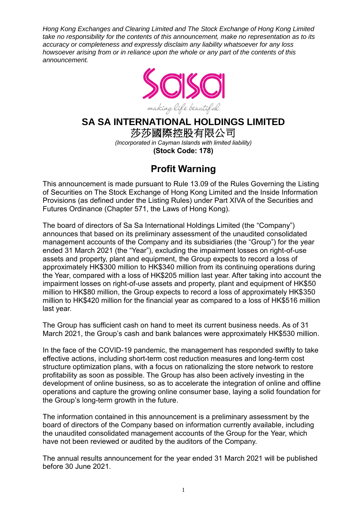*Hong Kong Exchanges and Clearing Limited and The Stock Exchange of Hong Kong Limited take no responsibility for the contents of this announcement, make no representation as to its accuracy or completeness and expressly disclaim any liability whatsoever for any loss howsoever arising from or in reliance upon the whole or any part of the contents of this announcement.*



# **SA SA INTERNATIONAL HOLDINGS LIMITED**

莎莎國際控股有限公司 *(Incorporated in Cayman Islands with limited liability)* **(Stock Code: 178)**

# **Profit Warning**

This announcement is made pursuant to Rule 13.09 of the Rules Governing the Listing of Securities on The Stock Exchange of Hong Kong Limited and the Inside Information Provisions (as defined under the Listing Rules) under Part XIVA of the Securities and Futures Ordinance (Chapter 571, the Laws of Hong Kong).

The board of directors of Sa Sa International Holdings Limited (the "Company") announces that based on its preliminary assessment of the unaudited consolidated management accounts of the Company and its subsidiaries (the "Group") for the year ended 31 March 2021 (the "Year"), excluding the impairment losses on right-of-use assets and property, plant and equipment, the Group expects to record a loss of approximately HK\$300 million to HK\$340 million from its continuing operations during the Year, compared with a loss of HK\$205 million last year. After taking into account the impairment losses on right-of-use assets and property, plant and equipment of HK\$50 million to HK\$80 million, the Group expects to record a loss of approximately HK\$350 million to HK\$420 million for the financial year as compared to a loss of HK\$516 million last year.

The Group has sufficient cash on hand to meet its current business needs. As of 31 March 2021, the Group's cash and bank balances were approximately HK\$530 million.

In the face of the COVID-19 pandemic, the management has responded swiftly to take effective actions, including short-term cost reduction measures and long-term cost structure optimization plans, with a focus on rationalizing the store network to restore profitability as soon as possible. The Group has also been actively investing in the development of online business, so as to accelerate the integration of online and offline operations and capture the growing online consumer base, laying a solid foundation for the Group's long-term growth in the future.

The information contained in this announcement is a preliminary assessment by the board of directors of the Company based on information currently available, including the unaudited consolidated management accounts of the Group for the Year, which have not been reviewed or audited by the auditors of the Company.

The annual results announcement for the year ended 31 March 2021 will be published before 30 June 2021.